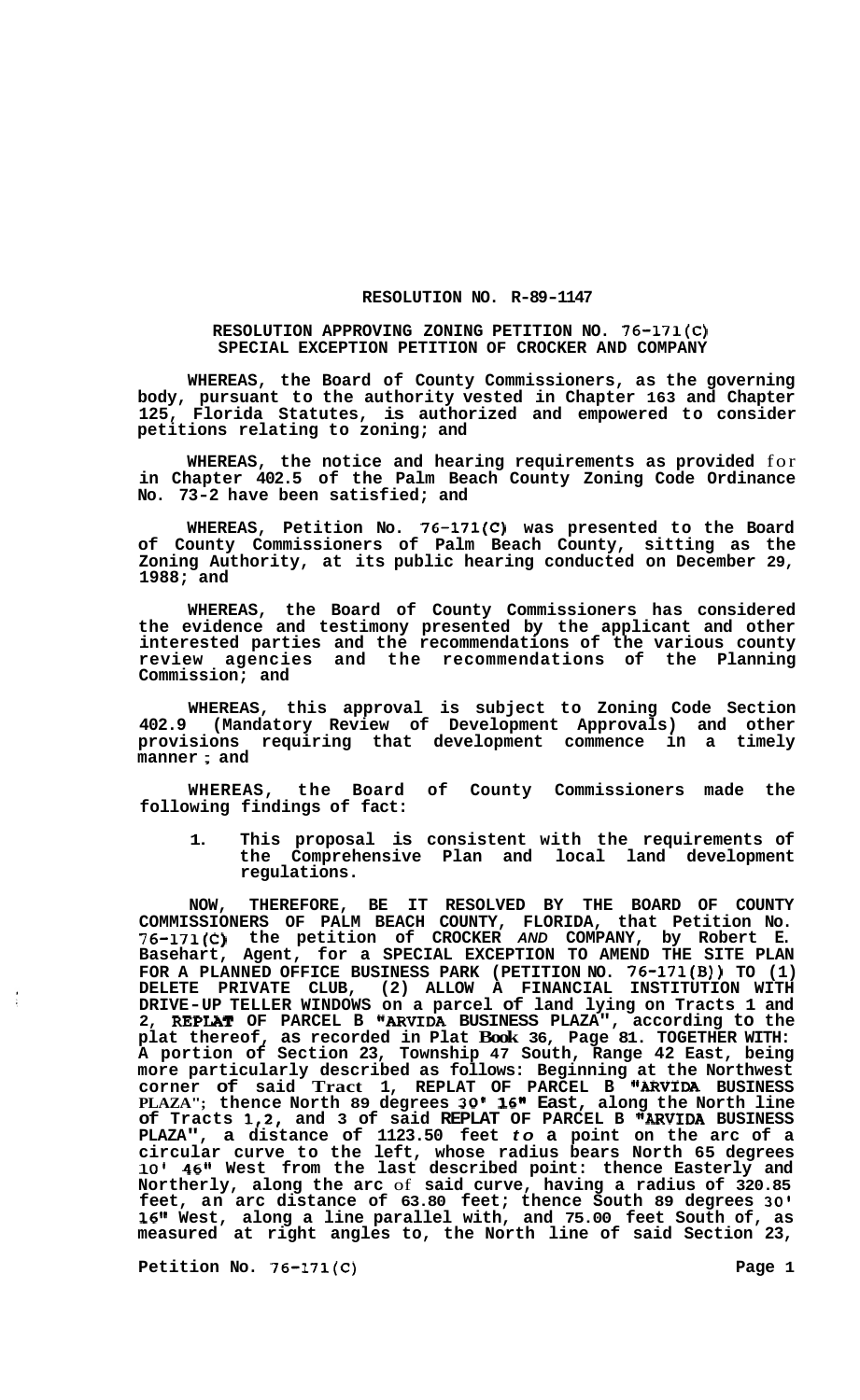## **RESOLUTION NO. R-89-1147**

## **RESOLUTION APPROVING ZONING PETITION NO. 76-171(C) SPECIAL EXCEPTION PETITION OF CROCKER AND COMPANY**

**WHEREAS, the Board of County Commissioners, as the governing body, pursuant to the authority vested in Chapter 163 and Chapter 125, Florida Statutes, is authorized and empowered to consider petitions relating to zoning; and** 

**WHEREAS, the notice and hearing requirements as provided** for **in Chapter 402.5 of the Palm Beach County Zoning Code Ordinance No. 73-2 have been satisfied; and** 

**WHEREAS, Petition No. 76-171(C) was presented to the Board of County Commissioners of Palm Beach County, sitting as the Zoning Authority, at its public hearing conducted on December 29, 1988; and** 

**WHEREAS, the Board of County Commissioners has considered the evidence and testimony presented by the applicant and other interested parties and the recommendations of the various county review agencies and the recommendations of the Planning Commission; and** 

**WHEREAS, this approval is subject to Zoning Code Section 402.9 (Mandatory Review of Development Approvals) and other provisions requiring that development commence in a timely manner** ; **and** 

**WHEREAS, the Board of County Commissioners made the following findings of fact:** 

**1. This proposal is consistent with the requirements of the Comprehensive Plan and local land development regulations.** 

**NOW, THEREFORE, BE IT RESOLVED BY THE BOARD OF COUNTY COMMISSIONERS OF PALM BEACH COUNTY, FLORIDA, that Petition No. 76-171(C) the petition of CROCKER** *AND* **COMPANY, by Robert E. Basehart, Agent, for a SPECIAL EXCEPTION TO AMEND THE SITE PLAN FOR A PLANNED OFFICE BUSINESS PARK (PETITION NO. 76-171(B)) TO (1) DELETE PRIVATE CLUB, (2) ALLOW A FINANCIAL INSTITUTION WITH DRIVE-UP TELLER WINDOWS on a parcel of land lying on Tracts 1 and 2, REPLAT OF PARCEL B "ARVIDA BUSINESS PLAZA", according to the plat thereof, as recorded in Plat Book 36, Page 81. TOGETHER WITH: A portion of Section 23, Township 47 South, Range 42 East, being more particularly described as follows: Beginning at the Northwest corner of said Tract 1, REPLAT OF PARCEL B IIARVIDA BUSINESS PLAZA"; thence North 89 degrees 30' 16" East, along the North line of Tracts 1,2, and 3 of said REPLAT OF PARCEL B "ARVIDA BUSINESS PLAZA", a distance of 1123.50 feet** *to* **a point on the arc of a circular curve to the left, whose radius bears North 65 degrees 10' 46" West from the last described point: thence Easterly and Northerly, along the arc** of **said curve, having a radius of 320.85 feet, an arc distance of 63.80 feet; thence South 89 degrees 30' 1611 West, along a line parallel with, and 75.00 feet South of, as measured at right angles to, the North line of said Section 23,** 

Petition No. 76-171(C) 2012 2022 1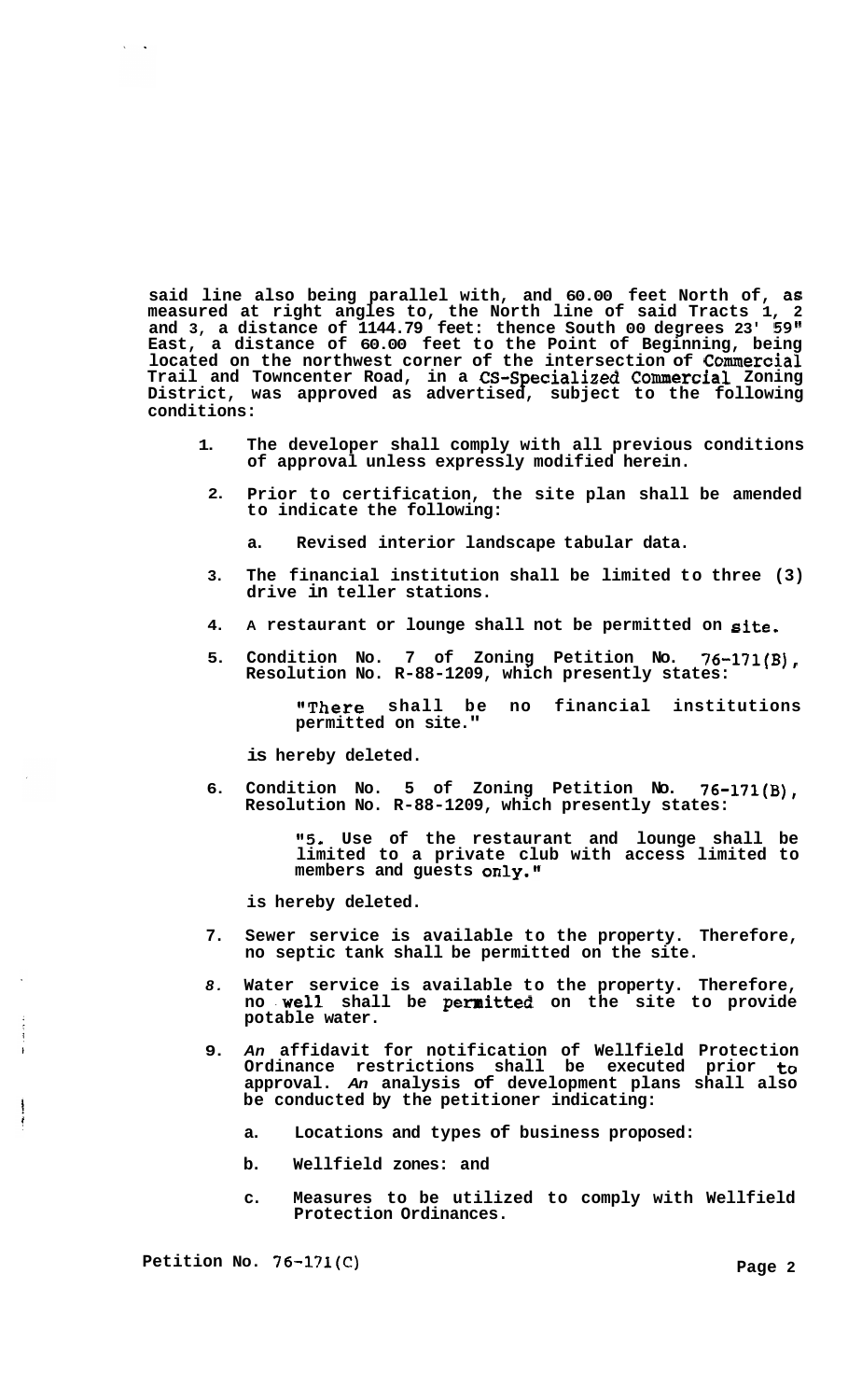**said line also being parallel with, and 60.00 feet North of, as measured at right angles to, the North line of said Tracts 1, 2 and 3, a distance of 1144.79 feet: thence South 00 degrees 23' 59" East, a distance of 60.00 feet to the Point of Beginning, being located on the northwest corner of the intersection of Commercial Trail and Towncenter Road, in a CS-Specialized Commercial Zoning District, was approved as advertised, subject to the following conditions:** 

- **1. The developer shall comply with all previous conditions of approval unless expressly modified herein.**
- **2. Prior to certification, the site plan shall be amended to indicate the following:** 
	- **a. Revised interior landscape tabular data.**
- **3. The financial institution shall be limited to three (3) drive in teller stations.**
- **4. A restaurant or lounge shall not be permitted on site.**
- **5. Condition No. 7 of Zoning Petition No. 76-171(B), Resolution No. R-88-1209, which presently states:**

**IlThere shall be no financial institutions permitted on site."** 

**is hereby deleted.** 

**6. Condition No. 5 of Zoning Petition No. 76-171(B), Resolution No. R-88-1209, which presently states:** 

> **"5. Use of the restaurant and lounge shall be limited to a private club with access limited to**  members and guests only."

**is hereby deleted.** 

- **7. Sewer service is available to the property. Therefore, no septic tank shall be permitted on the site.**
- *8.*  **Water service is available to the property. Therefore, no .well shall be permitted on the site to provide potable water.**
- **9.**  *An* **affidavit for notification of Wellfield Protection Ordinance restrictions shall be executed prior to approval.** *An* **analysis of development plans shall also be conducted by the petitioner indicating:** 
	- **a. Locations and types of business proposed:**
	- **b. Wellfield zones: and**
	- **c. Measures to be utilized to comply with Wellfield Protection Ordinances.**

Petition No. 76-171(C) 2 and 2 and 2 and 2 and 2 and 2 and 2 and 2 and 2 and 2 and 2 and 2 and 2 and 2 and 2 and 2 and 2 and 2 and 2 and 2 and 2 and 2 and 2 and 2 and 2 and 2 and 2 and 2 and 2 and 2 and 2 and 2 and 2 and 2